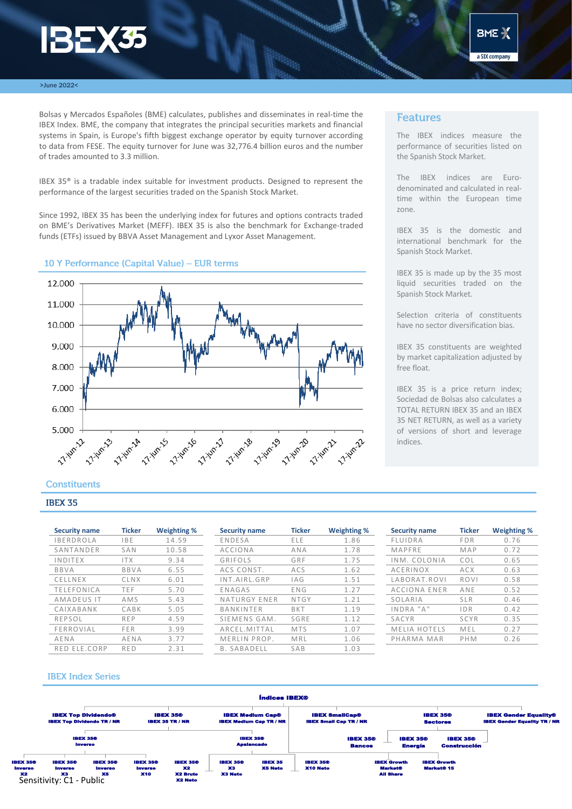# **BEX35**



#### >June 2022<

Bolsas y Mercados Españoles (BME) calculates, publishes and disseminates in real-time the IBEX Index. BME, the company that integrates the principal securities markets and financial systems in Spain, is Europe's fifth biggest exchange operator by equity turnover according to data from FESE. The equity turnover for June was 32,776.4 billion euros and the number of trades amounted to 3.3 million.

IBEX 35® is a tradable index suitable for investment products. Designed to represent the performance of the largest securities traded on the Spanish Stock Market.

Since 1992, IBEX 35 has been the underlying index for futures and options contracts traded on BME's Derivatives Market (MEFF). IBEX 35 is also the benchmark for Exchange-traded funds (ETFs) issued by BBVA Asset Management and Lyxor Asset Management.

### 10 Y Performance (Capital Value) - EUR terms



### **Features**

The IBEX indices measure the performance of securities listed on the Spanish Stock Market.

The IBEX indices are Eurodenominated and calculated in realtime within the European time zone.

IBEX 35 is the domestic and international benchmark for the Spanish Stock Market.

IBEX 35 is made up by the 35 most liquid securities traded on the Spanish Stock Market.

Selection criteria of constituents have no sector diversification bias.

IBEX 35 constituents are weighted by market capitalization adjusted by free float.

IBEX 35 is a price return index; Sociedad de Bolsas also calculates a TOTAL RETURN IBEX 35 and an IBEX 35 NET RETURN, as well as a variety of versions of short and leverage indices.

## **Constituents**

### **IBEX 35**

| <b>Security name</b> | <b>Ticker</b> | <b>Weighting %</b> |
|----------------------|---------------|--------------------|
| <b>IBERDROLA</b>     | <b>IBE</b>    | 14.59              |
| SANTANDER            | SAN           | 10.58              |
| INDITEX              | <b>ITX</b>    | 9.34               |
| BBVA                 | <b>BBVA</b>   | 6.55               |
| CELLNEX              | CLNX          | 6.01               |
| <b>TELEFONICA</b>    | TEF           | 5.70               |
| AMADEUS IT           | AMS           | 5.43               |
| CAIXABANK            | CABK          | 5.05               |
| REPSOL               | REP           | 4.59               |
| FERROVIAL            | FER           | 3.99               |
| AENA                 | AENA          | 3.77               |
| RFD FIF CORP         | RFD           | ว ว1               |

| <b>Security name</b> | <b>Ticker</b> | <b>Weighting %</b> | <b>Security name</b> | <b>Ticker</b> | Weighting % | <b>Security name</b> | <b>Ticker</b> | <b>Weighting %</b> |
|----------------------|---------------|--------------------|----------------------|---------------|-------------|----------------------|---------------|--------------------|
| <b>IBERDROLA</b>     | IBE.          | 14.59              | ENDESA               | <b>ELE</b>    | 1.86        | FLUIDRA              | <b>FDR</b>    | 0.76               |
| SANTANDER            | SAN           | 10.58              | <b>ACCIONA</b>       | ANA           | 1.78        | MAPFRE               | MAP           | 0.72               |
| INDITEX              | <b>ITX</b>    | 9.34               | GRIFOLS              | GRF           | 1.75        | INM. COLONIA         | <b>COL</b>    | 0.65               |
| <b>BBVA</b>          | <b>BBVA</b>   | 6.55               | ACS CONST.           | ACS           | 1.62        | ACERINOX             | ACX           | 0.63               |
| CELLNEX              | CLNX          | 6.01               | INT.AIRL.GRP         | <b>IAG</b>    | 1.51        | LABORAT.ROVI         | ROVI          | 0.58               |
| TELEFONICA           | <b>TEF</b>    | 5.70               | ENAGAS               | ENG           | 1.27        | ACCIONA ENER         | ANE           | 0.52               |
| AMADEUS IT           | AMS           | 5.43               | NATURGY ENER         | NTGY          | 1.21        | SOLARIA              | <b>SLR</b>    | 0.46               |
| CAIXABANK            | CABK          | 5.05               | BANKINTER            | <b>BKT</b>    | 1.19        | INDRA "A"            | IDR           | 0.42               |
| REPSOL               | <b>REP</b>    | 4.59               | SIEMENS GAM.         | SGRE          | 1.12        | SACYR                | SCYR          | 0.35               |
| FERROVIAL            | <b>FER</b>    | 3.99               | ARCEL.MITTAL         | <b>MTS</b>    | 1.07        | <b>MELIA HOTELS</b>  | MEL           | 0.27               |
| AENA                 | AENA          | 3.77               | MERLIN PROP.         | MRL           | 1.06        | PHARMA MAR           | PHM           | 0.26               |
| RED ELE.CORP         | <b>RED</b>    | 2.31               | <b>B. SABADELL</b>   | SAB           | 1.03        |                      |               |                    |
|                      |               |                    |                      |               |             |                      |               |                    |

| <b>Security name</b> | <b>Ticker</b> | <b>Weighting %</b> |
|----------------------|---------------|--------------------|
| FLUIDRA              | <b>FDR</b>    | 0.76               |
| MAPFRE               | MAP           | 0.72               |
| INM. COLONIA         | COL           | 0.65               |
| ACERINOX             | ACX           | 0.63               |
| LABORAT, ROVI        | <b>ROVI</b>   | 0.58               |
| ACCIONA ENER         | ANF           | 0.52               |
| SOLARIA              | SIR           | 0.46               |
| INDRA "A"            | IDR           | 0.42               |
| SACYR                | SCYR          | 0.35               |
| <b>MELIA HOTELS</b>  | MEL           | 0.27               |
| PHARMA MAR           | PHM           | 0.26               |

### **IBEX Index Series**

**X2**<br>Sensitivity: C1 - Public IBEX Top Dividendo® IBEX Top Dividendo TR / NR IBEX 35® Inverso IBEX 35® Inverso IBEX 35® Inverso  $\times$ IBEX 35® Inverso X10 IBEX 35® Inverso IBEX 35®  $\mathcal{L}$ X2 Bruto X2 Neto IBEX 35® X3 X3 Neto IBEX 35 X5 Neto IBEX 35® X10 Neto IBEX 35® Apalancado IBEX 35® IBEX 35 TR / NR IBEX Medium Cap® IBEX Medium Cap TR / NR IBEX SmallCap® IBEX Small Cap TR / NR IBEX 35® Bancos IBEX Growth Market® All Share IBEX 35® Energía IBEX Growth Market® 15 IBEX 35® Construcción IBEX 35® Sectores IBEX Gender Equality® IBEX Gender Equality TR / NR Índices IBEX®